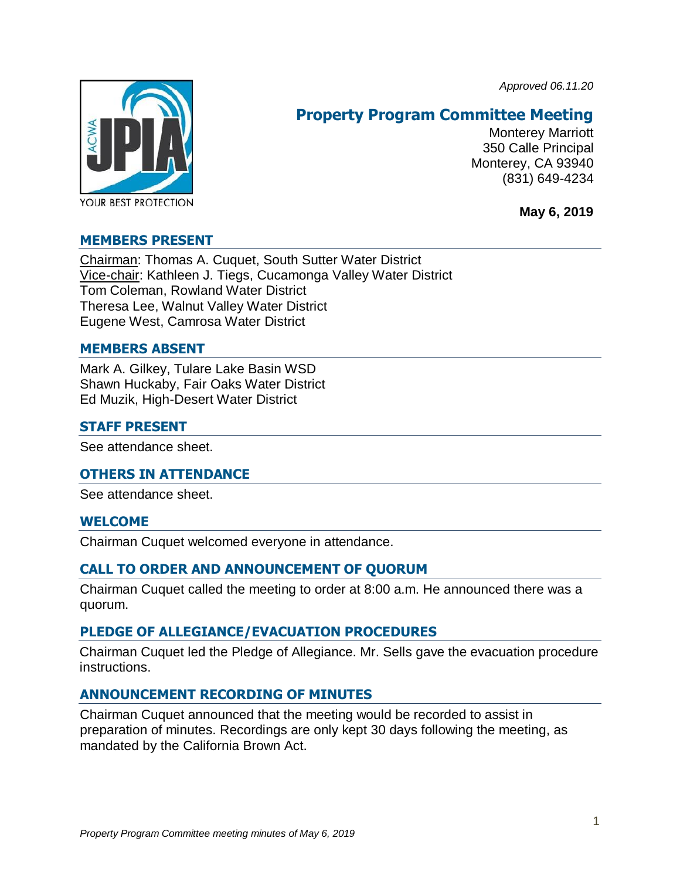*Approved 06.11.20*



# **Property Program Committee Meeting**

Monterey Marriott 350 Calle Principal Monterey, CA 93940 (831) 649-4234

**May 6, 2019**

# **MEMBERS PRESENT**

Chairman: Thomas A. Cuquet, South Sutter Water District Vice-chair: Kathleen J. Tiegs, Cucamonga Valley Water District Tom Coleman, Rowland Water District Theresa Lee, Walnut Valley Water District Eugene West, Camrosa Water District

## **MEMBERS ABSENT**

Mark A. Gilkey, Tulare Lake Basin WSD Shawn Huckaby, Fair Oaks Water District Ed Muzik, High-Desert Water District

### **STAFF PRESENT**

See attendance sheet.

# **OTHERS IN ATTENDANCE**

See attendance sheet.

# **WELCOME**

Chairman Cuquet welcomed everyone in attendance.

# **CALL TO ORDER AND ANNOUNCEMENT OF QUORUM**

Chairman Cuquet called the meeting to order at 8:00 a.m. He announced there was a quorum.

# **PLEDGE OF ALLEGIANCE/EVACUATION PROCEDURES**

Chairman Cuquet led the Pledge of Allegiance. Mr. Sells gave the evacuation procedure instructions.

# **ANNOUNCEMENT RECORDING OF MINUTES**

Chairman Cuquet announced that the meeting would be recorded to assist in preparation of minutes. Recordings are only kept 30 days following the meeting, as mandated by the California Brown Act.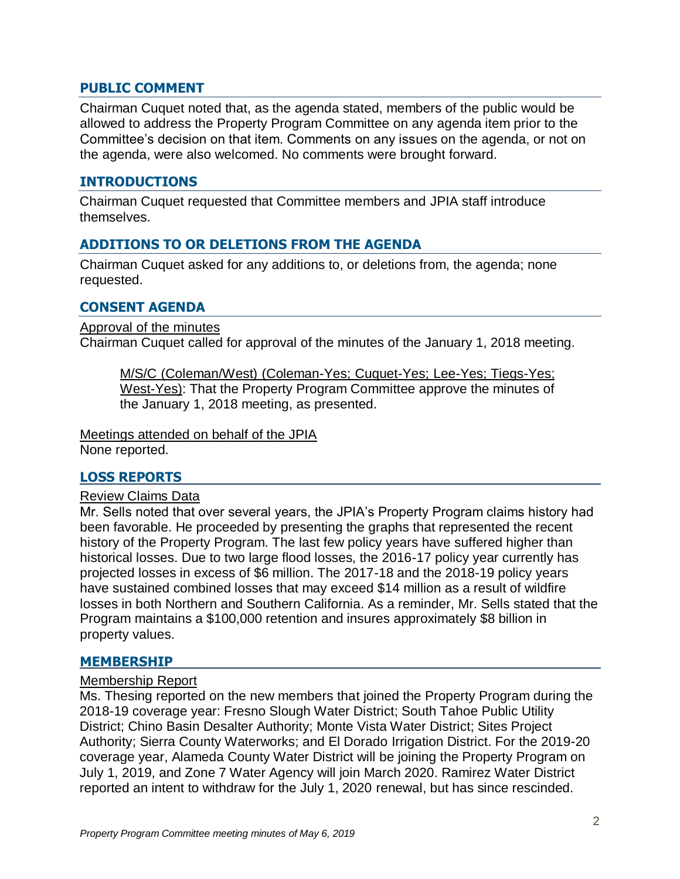### **PUBLIC COMMENT**

Chairman Cuquet noted that, as the agenda stated, members of the public would be allowed to address the Property Program Committee on any agenda item prior to the Committee's decision on that item. Comments on any issues on the agenda, or not on the agenda, were also welcomed. No comments were brought forward.

## **INTRODUCTIONS**

Chairman Cuquet requested that Committee members and JPIA staff introduce themselves.

# **ADDITIONS TO OR DELETIONS FROM THE AGENDA**

Chairman Cuquet asked for any additions to, or deletions from, the agenda; none requested.

#### **CONSENT AGENDA**

Approval of the minutes

Chairman Cuquet called for approval of the minutes of the January 1, 2018 meeting.

M/S/C (Coleman/West) (Coleman-Yes; Cuquet-Yes; Lee-Yes; Tiegs-Yes; West-Yes): That the Property Program Committee approve the minutes of the January 1, 2018 meeting, as presented.

Meetings attended on behalf of the JPIA None reported.

#### **LOSS REPORTS**

#### Review Claims Data

Mr. Sells noted that over several years, the JPIA's Property Program claims history had been favorable. He proceeded by presenting the graphs that represented the recent history of the Property Program. The last few policy years have suffered higher than historical losses. Due to two large flood losses, the 2016-17 policy year currently has projected losses in excess of \$6 million. The 2017-18 and the 2018-19 policy years have sustained combined losses that may exceed \$14 million as a result of wildfire losses in both Northern and Southern California. As a reminder, Mr. Sells stated that the Program maintains a \$100,000 retention and insures approximately \$8 billion in property values.

#### **MEMBERSHIP**

#### Membership Report

Ms. Thesing reported on the new members that joined the Property Program during the 2018-19 coverage year: Fresno Slough Water District; South Tahoe Public Utility District; Chino Basin Desalter Authority; Monte Vista Water District; Sites Project Authority; Sierra County Waterworks; and El Dorado Irrigation District. For the 2019-20 coverage year, Alameda County Water District will be joining the Property Program on July 1, 2019, and Zone 7 Water Agency will join March 2020. Ramirez Water District reported an intent to withdraw for the July 1, 2020 renewal, but has since rescinded.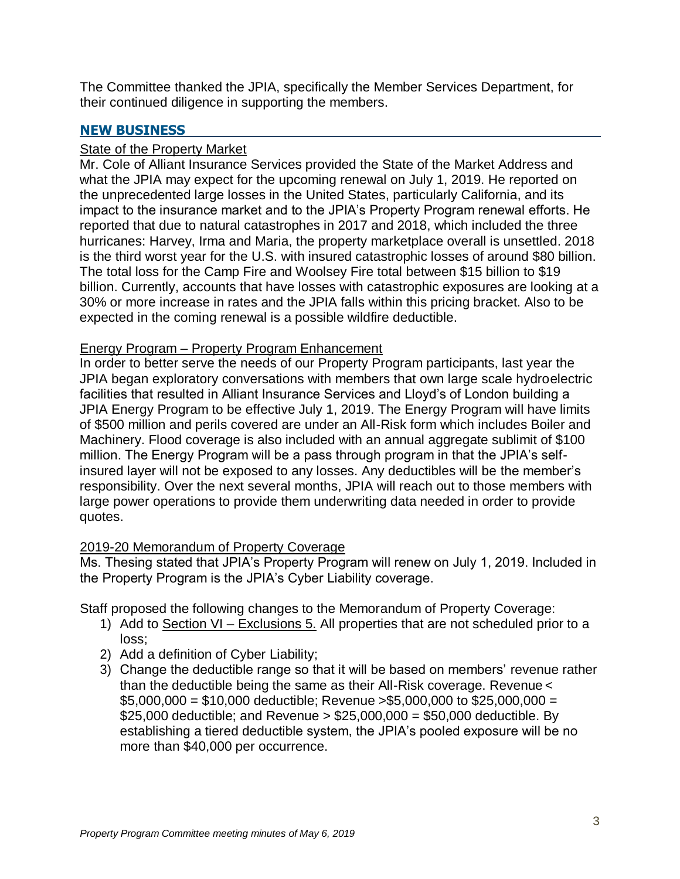The Committee thanked the JPIA, specifically the Member Services Department, for their continued diligence in supporting the members.

# **NEW BUSINESS**

# **State of the Property Market**

Mr. Cole of Alliant Insurance Services provided the State of the Market Address and what the JPIA may expect for the upcoming renewal on July 1, 2019. He reported on the unprecedented large losses in the United States, particularly California, and its impact to the insurance market and to the JPIA's Property Program renewal efforts. He reported that due to natural catastrophes in 2017 and 2018, which included the three hurricanes: Harvey, Irma and Maria, the property marketplace overall is unsettled. 2018 is the third worst year for the U.S. with insured catastrophic losses of around \$80 billion. The total loss for the Camp Fire and Woolsey Fire total between \$15 billion to \$19 billion. Currently, accounts that have losses with catastrophic exposures are looking at a 30% or more increase in rates and the JPIA falls within this pricing bracket. Also to be expected in the coming renewal is a possible wildfire deductible.

# Energy Program – Property Program Enhancement

In order to better serve the needs of our Property Program participants, last year the JPIA began exploratory conversations with members that own large scale hydroelectric facilities that resulted in Alliant Insurance Services and Lloyd's of London building a JPIA Energy Program to be effective July 1, 2019. The Energy Program will have limits of \$500 million and perils covered are under an All-Risk form which includes Boiler and Machinery. Flood coverage is also included with an annual aggregate sublimit of \$100 million. The Energy Program will be a pass through program in that the JPIA's selfinsured layer will not be exposed to any losses. Any deductibles will be the member's responsibility. Over the next several months, JPIA will reach out to those members with large power operations to provide them underwriting data needed in order to provide quotes.

# 2019-20 Memorandum of Property Coverage

Ms. Thesing stated that JPIA's Property Program will renew on July 1, 2019. Included in the Property Program is the JPIA's Cyber Liability coverage.

Staff proposed the following changes to the Memorandum of Property Coverage:

- 1) Add to Section VI Exclusions 5. All properties that are not scheduled prior to a loss;
- 2) Add a definition of Cyber Liability;
- 3) Change the deductible range so that it will be based on members' revenue rather than the deductible being the same as their All-Risk coverage. Revenue <  $$5,000,000 = $10,000$  deductible; Revenue >\$5,000,000 to \$25,000,000 = \$25,000 deductible; and Revenue  $> $25,000,000 = $50,000$  deductible. By establishing a tiered deductible system, the JPIA's pooled exposure will be no more than \$40,000 per occurrence.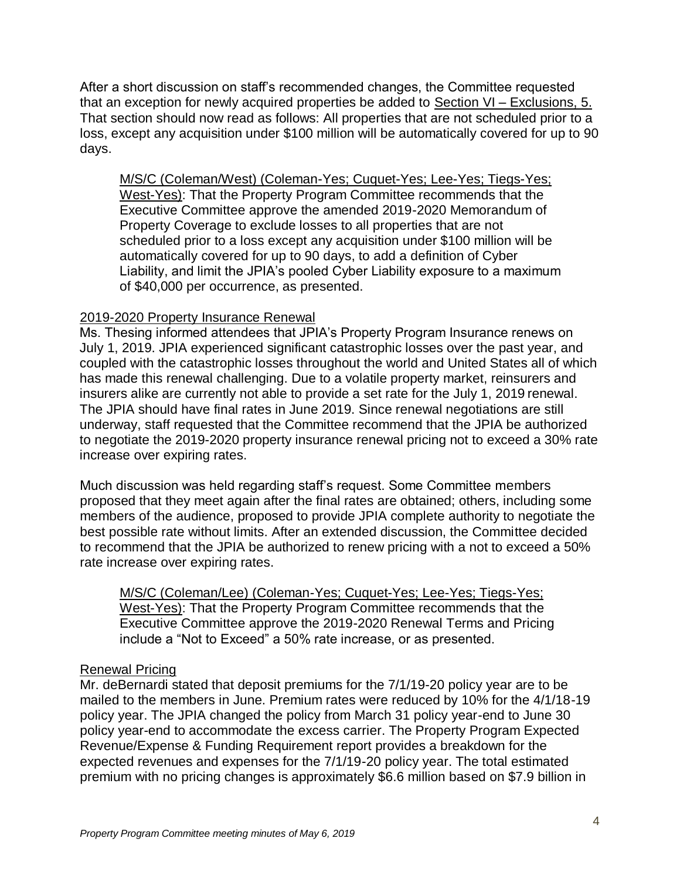After a short discussion on staff's recommended changes, the Committee requested that an exception for newly acquired properties be added to Section VI – Exclusions, 5. That section should now read as follows: All properties that are not scheduled prior to a loss, except any acquisition under \$100 million will be automatically covered for up to 90 days.

M/S/C (Coleman/West) (Coleman-Yes; Cuquet-Yes; Lee-Yes; Tiegs-Yes; West-Yes): That the Property Program Committee recommends that the Executive Committee approve the amended 2019-2020 Memorandum of Property Coverage to exclude losses to all properties that are not scheduled prior to a loss except any acquisition under \$100 million will be automatically covered for up to 90 days, to add a definition of Cyber Liability, and limit the JPIA's pooled Cyber Liability exposure to a maximum of \$40,000 per occurrence, as presented.

# 2019-2020 Property Insurance Renewal

Ms. Thesing informed attendees that JPIA's Property Program Insurance renews on July 1, 2019. JPIA experienced significant catastrophic losses over the past year, and coupled with the catastrophic losses throughout the world and United States all of which has made this renewal challenging. Due to a volatile property market, reinsurers and insurers alike are currently not able to provide a set rate for the July 1, 2019 renewal. The JPIA should have final rates in June 2019. Since renewal negotiations are still underway, staff requested that the Committee recommend that the JPIA be authorized to negotiate the 2019-2020 property insurance renewal pricing not to exceed a 30% rate increase over expiring rates.

Much discussion was held regarding staff's request. Some Committee members proposed that they meet again after the final rates are obtained; others, including some members of the audience, proposed to provide JPIA complete authority to negotiate the best possible rate without limits. After an extended discussion, the Committee decided to recommend that the JPIA be authorized to renew pricing with a not to exceed a 50% rate increase over expiring rates.

M/S/C (Coleman/Lee) (Coleman-Yes; Cuquet-Yes; Lee-Yes; Tiegs-Yes; West-Yes): That the Property Program Committee recommends that the Executive Committee approve the 2019-2020 Renewal Terms and Pricing include a "Not to Exceed" a 50% rate increase, or as presented.

# Renewal Pricing

Mr. deBernardi stated that deposit premiums for the 7/1/19-20 policy year are to be mailed to the members in June. Premium rates were reduced by 10% for the 4/1/18-19 policy year. The JPIA changed the policy from March 31 policy year-end to June 30 policy year-end to accommodate the excess carrier. The Property Program Expected Revenue/Expense & Funding Requirement report provides a breakdown for the expected revenues and expenses for the 7/1/19-20 policy year. The total estimated premium with no pricing changes is approximately \$6.6 million based on \$7.9 billion in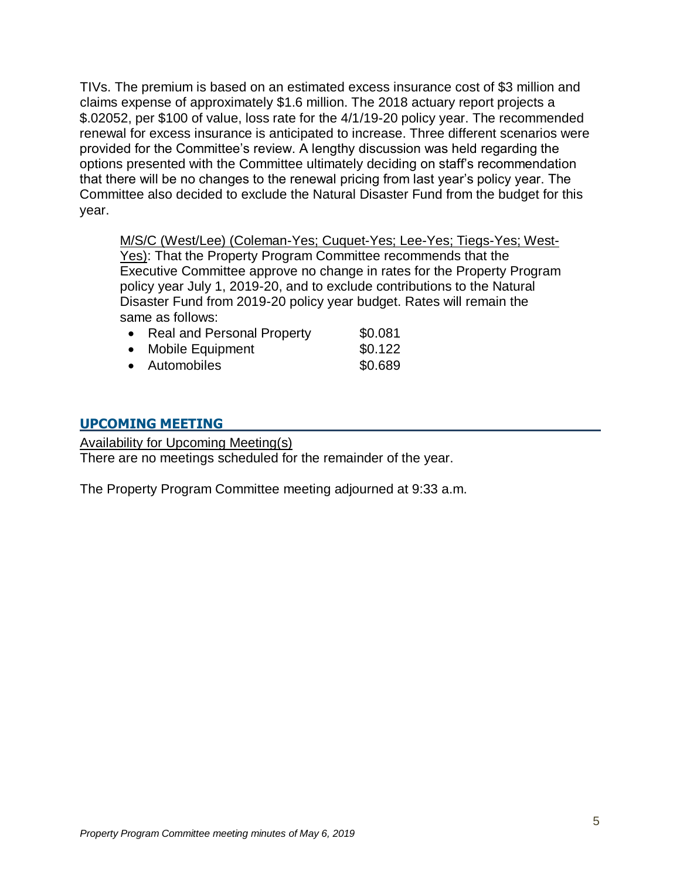TIVs. The premium is based on an estimated excess insurance cost of \$3 million and claims expense of approximately \$1.6 million. The 2018 actuary report projects a \$.02052, per \$100 of value, loss rate for the 4/1/19-20 policy year. The recommended renewal for excess insurance is anticipated to increase. Three different scenarios were provided for the Committee's review. A lengthy discussion was held regarding the options presented with the Committee ultimately deciding on staff's recommendation that there will be no changes to the renewal pricing from last year's policy year. The Committee also decided to exclude the Natural Disaster Fund from the budget for this year.

M/S/C (West/Lee) (Coleman-Yes; Cuquet-Yes; Lee-Yes; Tiegs-Yes; West-Yes): That the Property Program Committee recommends that the Executive Committee approve no change in rates for the Property Program policy year July 1, 2019-20, and to exclude contributions to the Natural Disaster Fund from 2019-20 policy year budget. Rates will remain the same as follows:

| • Real and Personal Property | \$0.081 |
|------------------------------|---------|
| • Mobile Equipment           | \$0.122 |
| • Automobiles                | \$0.689 |

# **UPCOMING MEETING**

Availability for Upcoming Meeting(s)

There are no meetings scheduled for the remainder of the year.

The Property Program Committee meeting adjourned at 9:33 a.m.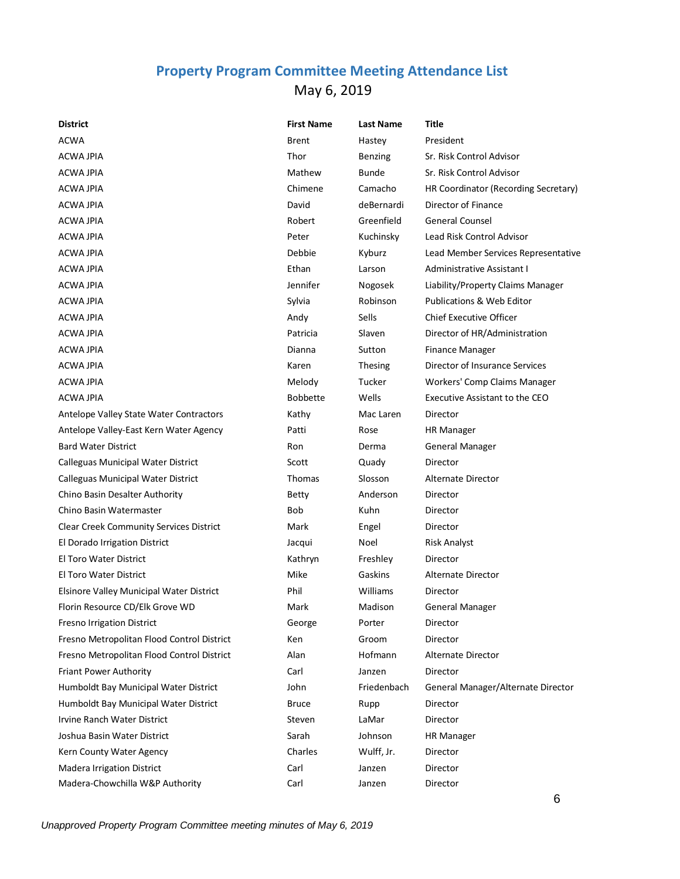# **Property Program Committee Meeting Attendance List** May 6, 2019

| <b>District</b>                            | <b>First Name</b> | <b>Last Name</b> | Title                                |
|--------------------------------------------|-------------------|------------------|--------------------------------------|
| <b>ACWA</b>                                | <b>Brent</b>      | Hastey           | President                            |
| <b>ACWA JPIA</b>                           | Thor              | Benzing          | Sr. Risk Control Advisor             |
| <b>ACWA JPIA</b>                           | Mathew            | Bunde            | Sr. Risk Control Advisor             |
| <b>ACWA JPIA</b>                           | Chimene           | Camacho          | HR Coordinator (Recording Secretary) |
| <b>ACWA JPIA</b>                           | David             | deBernardi       | Director of Finance                  |
| <b>ACWA JPIA</b>                           | Robert            | Greenfield       | <b>General Counsel</b>               |
| <b>ACWA JPIA</b>                           | Peter             | Kuchinsky        | Lead Risk Control Advisor            |
| <b>ACWA JPIA</b>                           | Debbie            | Kyburz           | Lead Member Services Representative  |
| ACWA JPIA                                  | Ethan             | Larson           | <b>Administrative Assistant I</b>    |
| <b>ACWA JPIA</b>                           | Jennifer          | Nogosek          | Liability/Property Claims Manager    |
| ACWA JPIA                                  | Sylvia            | Robinson         | <b>Publications &amp; Web Editor</b> |
| <b>ACWA JPIA</b>                           | Andy              | Sells            | Chief Executive Officer              |
| <b>ACWA JPIA</b>                           | Patricia          | Slaven           | Director of HR/Administration        |
| <b>ACWA JPIA</b>                           | Dianna            | Sutton           | <b>Finance Manager</b>               |
| ACWA JPIA                                  | Karen             | <b>Thesing</b>   | Director of Insurance Services       |
| ACWA JPIA                                  | Melody            | Tucker           | Workers' Comp Claims Manager         |
| <b>ACWA JPIA</b>                           | <b>Bobbette</b>   | Wells            | Executive Assistant to the CEO       |
| Antelope Valley State Water Contractors    | Kathy             | Mac Laren        | Director                             |
| Antelope Valley-East Kern Water Agency     | Patti             | Rose             | <b>HR Manager</b>                    |
| <b>Bard Water District</b>                 | Ron               | Derma            | <b>General Manager</b>               |
| Calleguas Municipal Water District         | Scott             | Quady            | Director                             |
| Calleguas Municipal Water District         | Thomas            | Slosson          | Alternate Director                   |
| Chino Basin Desalter Authority             | Betty             | Anderson         | Director                             |
| Chino Basin Watermaster                    | Bob               | Kuhn             | Director                             |
| Clear Creek Community Services District    | Mark              | Engel            | Director                             |
| El Dorado Irrigation District              | Jacqui            | Noel             | <b>Risk Analyst</b>                  |
| <b>El Toro Water District</b>              | Kathryn           | Freshley         | Director                             |
| <b>El Toro Water District</b>              | Mike              | Gaskins          | <b>Alternate Director</b>            |
| Elsinore Valley Municipal Water District   | Phil              | Williams         | Director                             |
| Florin Resource CD/Elk Grove WD            | Mark              | Madison          | <b>General Manager</b>               |
| Fresno Irrigation District                 | George            | Porter           | Director                             |
| Fresno Metropolitan Flood Control District | Ken               | Groom            | Director                             |
| Fresno Metropolitan Flood Control District | Alan              | Hofmann          | Alternate Director                   |
| Friant Power Authority                     | Carl              | Janzen           | Director                             |
| Humboldt Bay Municipal Water District      | John              | Friedenbach      | General Manager/Alternate Director   |
| Humboldt Bay Municipal Water District      | <b>Bruce</b>      | Rupp             | Director                             |
| Irvine Ranch Water District                | Steven            | LaMar            | Director                             |
| Joshua Basin Water District                | Sarah             | Johnson          | <b>HR Manager</b>                    |
| Kern County Water Agency                   | Charles           | Wulff, Jr.       | Director                             |
| Madera Irrigation District                 | Carl              | Janzen           | Director                             |
| Madera-Chowchilla W&P Authority            | Carl              | Janzen           | Director                             |